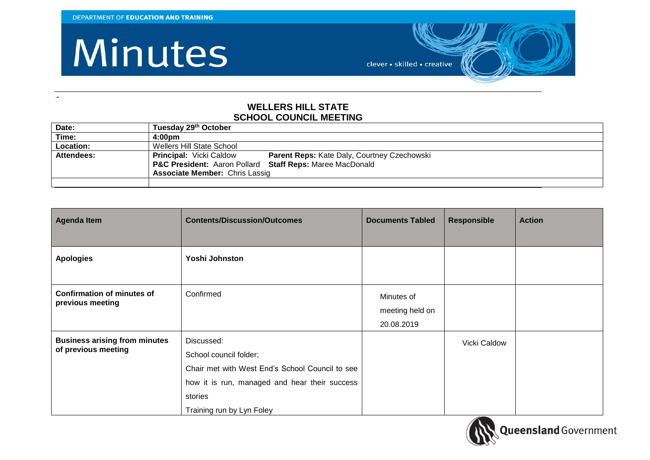**-**

## Minutes

clever · skilled · creative

## **WELLERS HILL STATE SCHOOL COUNCIL MEETING**

| Date:      | Tuesday 29th October                                                          |
|------------|-------------------------------------------------------------------------------|
| Time:      | 4:00 <sub>pm</sub>                                                            |
| Location:  | Wellers Hill State School                                                     |
| Attendees: | Parent Reps: Kate Daly, Courtney Czechowski<br><b>Principal: Vicki Caldow</b> |
|            | P&C President: Aaron Pollard Staff Reps: Maree MacDonald                      |
|            | <b>Associate Member: Chris Lassig</b>                                         |
|            |                                                                               |

| <b>Agenda Item</b>                                          | <b>Contents/Discussion/Outcomes</b>                                                                                                                                              | <b>Documents Tabled</b>                     | <b>Responsible</b> | <b>Action</b> |
|-------------------------------------------------------------|----------------------------------------------------------------------------------------------------------------------------------------------------------------------------------|---------------------------------------------|--------------------|---------------|
| <b>Apologies</b>                                            | Yoshi Johnston                                                                                                                                                                   |                                             |                    |               |
| <b>Confirmation of minutes of</b><br>previous meeting       | Confirmed                                                                                                                                                                        | Minutes of<br>meeting held on<br>20.08.2019 |                    |               |
| <b>Business arising from minutes</b><br>of previous meeting | Discussed:<br>School council folder;<br>Chair met with West End's School Council to see<br>how it is run, managed and hear their success<br>stories<br>Training run by Lyn Foley |                                             | Vicki Caldow       |               |

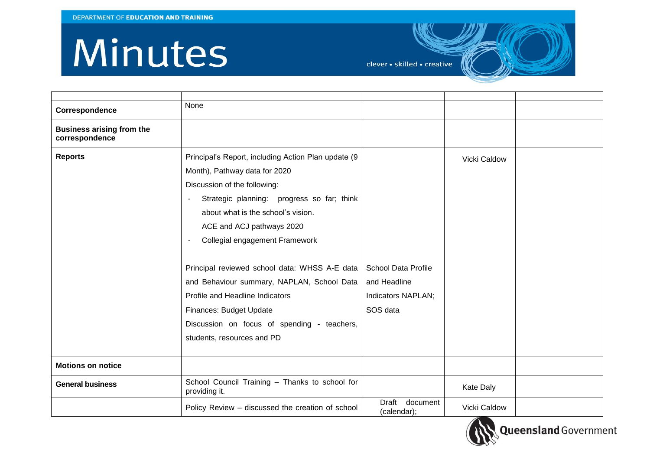## Minutes

clever · skilled · creative

| Correspondence                                     | None                                                                                                                                                                                                                                                                                                                                                                                                                                                                                                              |                                                                              |              |  |
|----------------------------------------------------|-------------------------------------------------------------------------------------------------------------------------------------------------------------------------------------------------------------------------------------------------------------------------------------------------------------------------------------------------------------------------------------------------------------------------------------------------------------------------------------------------------------------|------------------------------------------------------------------------------|--------------|--|
| <b>Business arising from the</b><br>correspondence |                                                                                                                                                                                                                                                                                                                                                                                                                                                                                                                   |                                                                              |              |  |
| <b>Reports</b>                                     | Principal's Report, including Action Plan update (9<br>Month), Pathway data for 2020<br>Discussion of the following:<br>Strategic planning: progress so far; think<br>about what is the school's vision.<br>ACE and ACJ pathways 2020<br>Collegial engagement Framework<br>Principal reviewed school data: WHSS A-E data<br>and Behaviour summary, NAPLAN, School Data<br>Profile and Headline Indicators<br>Finances: Budget Update<br>Discussion on focus of spending - teachers,<br>students, resources and PD | <b>School Data Profile</b><br>and Headline<br>Indicators NAPLAN;<br>SOS data | Vicki Caldow |  |
| <b>Motions on notice</b>                           |                                                                                                                                                                                                                                                                                                                                                                                                                                                                                                                   |                                                                              |              |  |
| <b>General business</b>                            | School Council Training - Thanks to school for<br>providing it.                                                                                                                                                                                                                                                                                                                                                                                                                                                   |                                                                              | Kate Daly    |  |
|                                                    | Policy Review – discussed the creation of school                                                                                                                                                                                                                                                                                                                                                                                                                                                                  | Draft<br>document<br>(calendar);                                             | Vicki Caldow |  |